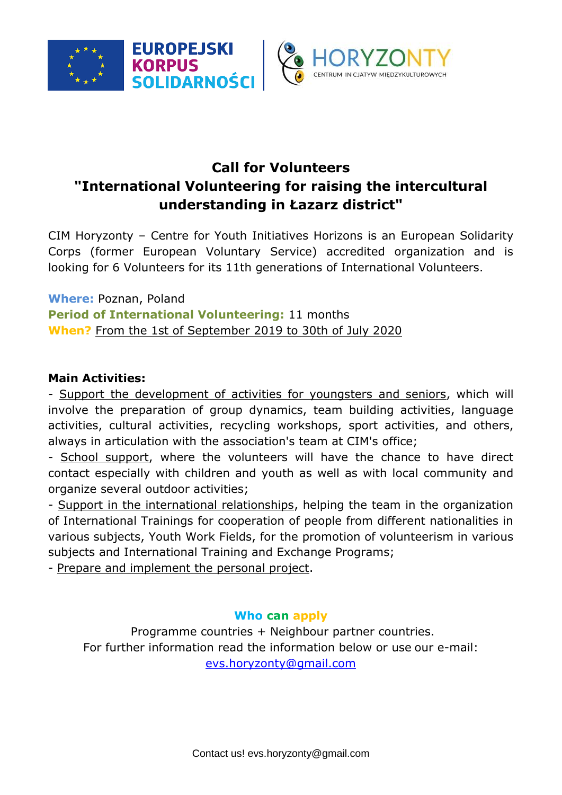



## **Call for Volunteers "International Volunteering for raising the intercultural understanding in Łazarz district"**

CIM Horyzonty – Centre for Youth Initiatives Horizons is an European Solidarity Corps (former European Voluntary Service) accredited organization and is looking for 6 Volunteers for its 11th generations of International Volunteers.

**Where:** Poznan, Poland **Period of International Volunteering:** 11 months **When?** From the 1st of September 2019 to 30th of July 2020

## **Main Activities:**

- Support the development of activities for youngsters and seniors, which will involve the preparation of group dynamics, team building activities, language activities, cultural activities, recycling workshops, sport activities, and others, always in articulation with the association's team at CIM's office;

- School support, where the volunteers will have the chance to have direct contact especially with children and youth as well as with local community and organize several outdoor activities;

- Support in the international relationships, helping the team in the organization of International Trainings for cooperation of people from different nationalities in various subjects, Youth Work Fields, for the promotion of volunteerism in various subjects and International Training and Exchange Programs;

- Prepare and implement the personal project.

## **Who can apply**

Programme countries + Neighbour partner countries. For further information read the information below or use our e-mail: [evs.horyzonty@gmail.com](mailto:evs.horyzonty@gmail.com)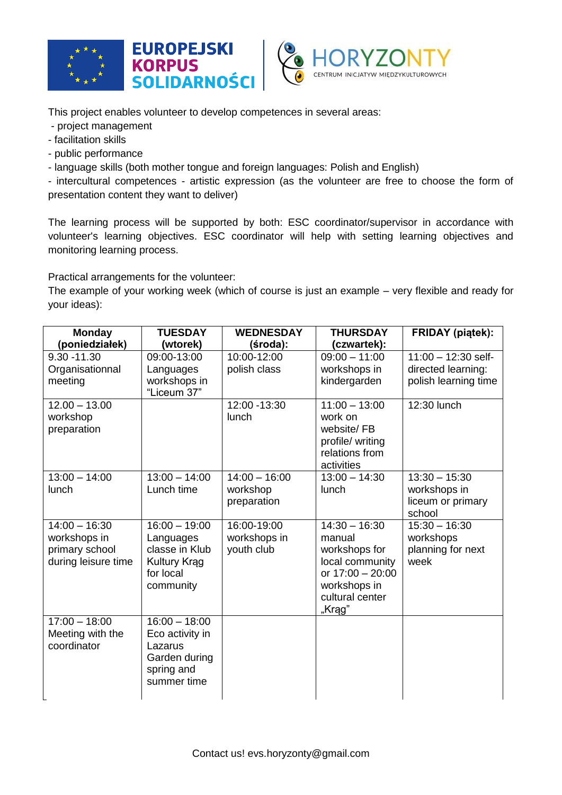





This project enables volunteer to develop competences in several areas:

- project management
- facilitation skills
- public performance
- language skills (both mother tongue and foreign languages: Polish and English)

- intercultural competences - artistic expression (as the volunteer are free to choose the form of presentation content they want to deliver)

The learning process will be supported by both: ESC coordinator/supervisor in accordance with volunteer's learning objectives. ESC coordinator will help with setting learning objectives and monitoring learning process.

Practical arrangements for the volunteer:

The example of your working week (which of course is just an example – very flexible and ready for your ideas):

| <b>Monday</b>                                                            | <b>TUESDAY</b>                                                                                  | <b>WEDNESDAY</b>                           | <b>THURSDAY</b>                                                                                                                | <b>FRIDAY</b> (piątek):                                             |
|--------------------------------------------------------------------------|-------------------------------------------------------------------------------------------------|--------------------------------------------|--------------------------------------------------------------------------------------------------------------------------------|---------------------------------------------------------------------|
| (poniedziałek)                                                           | (wtorek)                                                                                        | (środa):                                   | (czwartek):                                                                                                                    |                                                                     |
| $9.30 - 11.30$<br>Organisationnal<br>meeting                             | 09:00-13:00<br>Languages<br>workshops in<br>"Liceum 37"                                         | 10:00-12:00<br>polish class                | $09:00 - 11:00$<br>workshops in<br>kindergarden                                                                                | $11:00 - 12:30$ self-<br>directed learning:<br>polish learning time |
| $12.00 - 13.00$<br>workshop<br>preparation                               |                                                                                                 | 12:00 - 13:30<br>lunch                     | $11:00 - 13:00$<br>work on<br>website/FB<br>profile/ writing<br>relations from<br>activities                                   | 12:30 lunch                                                         |
| $13:00 - 14:00$<br>lunch                                                 | $13:00 - 14:00$<br>Lunch time                                                                   | $14:00 - 16:00$<br>workshop<br>preparation | $13:00 - 14:30$<br>lunch                                                                                                       | $13:30 - 15:30$<br>workshops in<br>liceum or primary<br>school      |
| $14:00 - 16:30$<br>workshops in<br>primary school<br>during leisure time | $16:00 - 19:00$<br>Languages<br>classe in Klub<br><b>Kultury Krag</b><br>for local<br>community | 16:00-19:00<br>workshops in<br>youth club  | $14:30 - 16:30$<br>manual<br>workshops for<br>local community<br>or 17:00 - 20:00<br>workshops in<br>cultural center<br>"Krąg" | $15:30 - 16:30$<br>workshops<br>planning for next<br>week           |
| $17:00 - 18:00$<br>Meeting with the<br>coordinator                       | $16:00 - 18:00$<br>Eco activity in<br>Lazarus<br>Garden during<br>spring and<br>summer time     |                                            |                                                                                                                                |                                                                     |